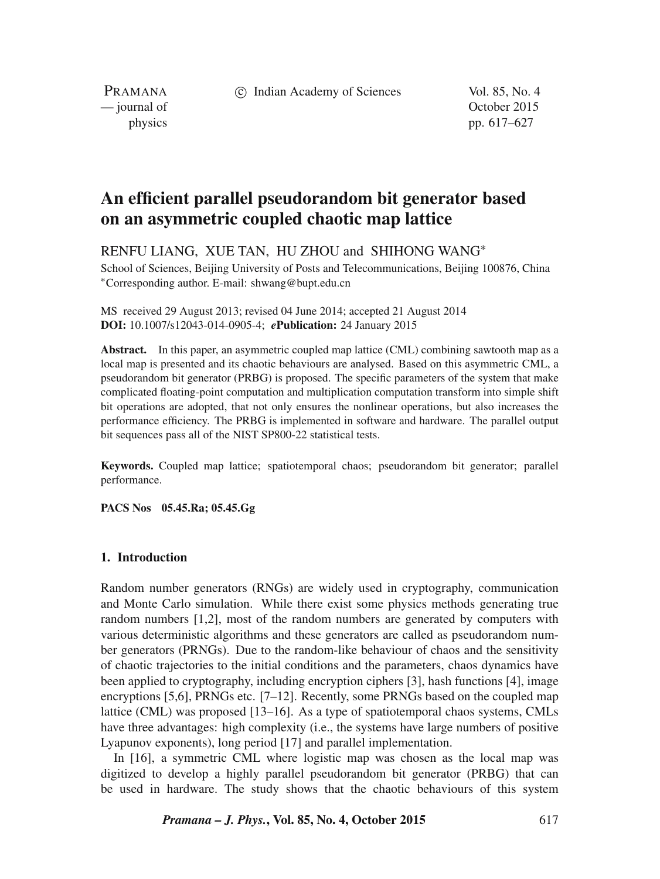c Indian Academy of Sciences Vol. 85, No. 4

PRAMANA

— journal of Contract of Contract of Contract of Contract of Contract of Contract of Contract of Contract of Contract of Contract of Contract of Contract of Contract of Contract of Contract of Contract of Contract of Contr physics pp. 617–627

# **An efficient parallel pseudorandom bit generator based on an asymmetric coupled chaotic map lattice**

RENFU LIANG, XUE TAN, HU ZHOU and SHIHONG WANG<sup>∗</sup>

School of Sciences, Beijing University of Posts and Telecommunications, Beijing 100876, China <sup>∗</sup>Corresponding author. E-mail: shwang@bupt.edu.cn

MS received 29 August 2013; revised 04 June 2014; accepted 21 August 2014 **DOI:** 10.1007/s12043-014-0905-4; *e***Publication:** 24 January 2015

**Abstract.** In this paper, an asymmetric coupled map lattice (CML) combining sawtooth map as a local map is presented and its chaotic behaviours are analysed. Based on this asymmetric CML, a pseudorandom bit generator (PRBG) is proposed. The specific parameters of the system that make complicated floating-point computation and multiplication computation transform into simple shift bit operations are adopted, that not only ensures the nonlinear operations, but also increases the performance efficiency. The PRBG is implemented in software and hardware. The parallel output bit sequences pass all of the NIST SP800-22 statistical tests.

**Keywords.** Coupled map lattice; spatiotemporal chaos; pseudorandom bit generator; parallel performance.

**PACS Nos 05.45.Ra; 05.45.Gg**

# **1. Introduction**

Random number generators (RNGs) are widely used in cryptography, communication and Monte Carlo simulation. While there exist some physics methods generating true random numbers [1,2], most of the random numbers are generated by computers with various deterministic algorithms and these generators are called as pseudorandom number generators (PRNGs). Due to the random-like behaviour of chaos and the sensitivity of chaotic trajectories to the initial conditions and the parameters, chaos dynamics have been applied to cryptography, including encryption ciphers [3], hash functions [4], image encryptions [5,6], PRNGs etc.  $[7-12]$ . Recently, some PRNGs based on the coupled map lattice (CML) was proposed [13–16]. As a type of spatiotemporal chaos systems, CMLs have three advantages: high complexity (i.e., the systems have large numbers of positive Lyapunov exponents), long period [17] and parallel implementation.

In [16], a symmetric CML where logistic map was chosen as the local map was digitized to develop a highly parallel pseudorandom bit generator (PRBG) that can be used in hardware. The study shows that the chaotic behaviours of this system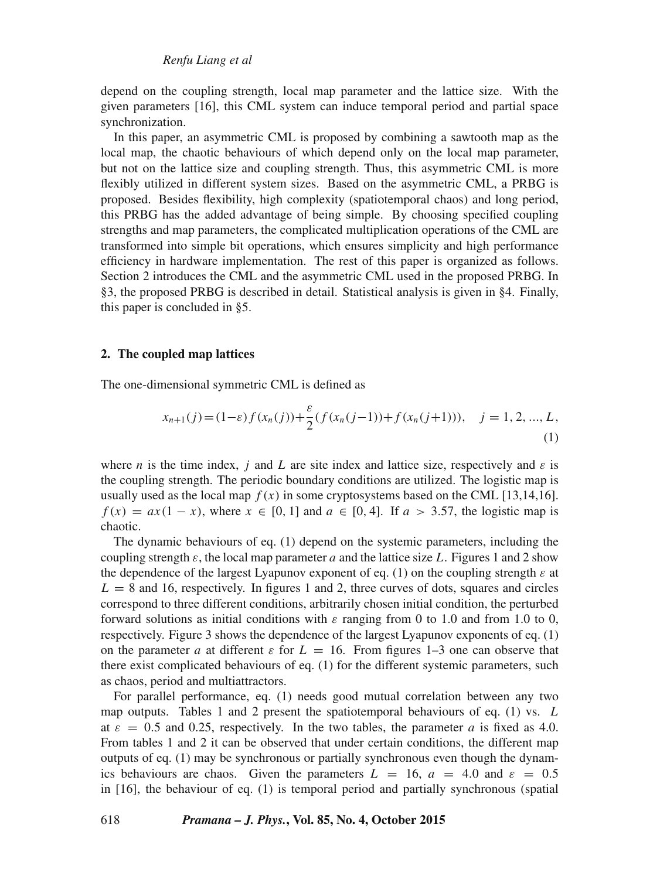depend on the coupling strength, local map parameter and the lattice size. With the given parameters [16], this CML system can induce temporal period and partial space synchronization.

In this paper, an asymmetric CML is proposed by combining a sawtooth map as the local map, the chaotic behaviours of which depend only on the local map parameter, but not on the lattice size and coupling strength. Thus, this asymmetric CML is more flexibly utilized in different system sizes. Based on the asymmetric CML, a PRBG is proposed. Besides flexibility, high complexity (spatiotemporal chaos) and long period, this PRBG has the added advantage of being simple. By choosing specified coupling strengths and map parameters, the complicated multiplication operations of the CML are transformed into simple bit operations, which ensures simplicity and high performance efficiency in hardware implementation. The rest of this paper is organized as follows. Section 2 introduces the CML and the asymmetric CML used in the proposed PRBG. In §3, the proposed PRBG is described in detail. Statistical analysis is given in §4. Finally, this paper is concluded in §5.

# **2. The coupled map lattices**

The one-dimensional symmetric CML is defined as

$$
x_{n+1}(j) = (1-\varepsilon)f(x_n(j)) + \frac{\varepsilon}{2}(f(x_n(j-1)) + f(x_n(j+1))), \quad j = 1, 2, ..., L,
$$
\n(1)

where n is the time index, j and L are site index and lattice size, respectively and  $\varepsilon$  is the coupling strength. The periodic boundary conditions are utilized. The logistic map is usually used as the local map  $f(x)$  in some cryptosystems based on the CML [13,14,16].  $f(x) = ax(1-x)$ , where  $x \in [0, 1]$  and  $a \in [0, 4]$ . If  $a > 3.57$ , the logistic map is chaotic.

The dynamic behaviours of eq. (1) depend on the systemic parameters, including the coupling strength  $\varepsilon$ , the local map parameter a and the lattice size L. Figures 1 and 2 show the dependence of the largest Lyapunov exponent of eq. (1) on the coupling strength  $\varepsilon$  at  $L = 8$  and 16, respectively. In figures 1 and 2, three curves of dots, squares and circles correspond to three different conditions, arbitrarily chosen initial condition, the perturbed forward solutions as initial conditions with  $\varepsilon$  ranging from 0 to 1.0 and from 1.0 to 0, respectively. Figure 3 shows the dependence of the largest Lyapunov exponents of eq. (1) on the parameter a at different  $\varepsilon$  for  $L = 16$ . From figures 1–3 one can observe that there exist complicated behaviours of eq. (1) for the different systemic parameters, such as chaos, period and multiattractors.

For parallel performance, eq. (1) needs good mutual correlation between any two map outputs. Tables 1 and 2 present the spatiotemporal behaviours of eq. (1) vs. L at  $\varepsilon = 0.5$  and 0.25, respectively. In the two tables, the parameter a is fixed as 4.0. From tables 1 and 2 it can be observed that under certain conditions, the different map outputs of eq. (1) may be synchronous or partially synchronous even though the dynamics behaviours are chaos. Given the parameters  $L = 16$ ,  $a = 4.0$  and  $\varepsilon = 0.5$ in [16], the behaviour of eq. (1) is temporal period and partially synchronous (spatial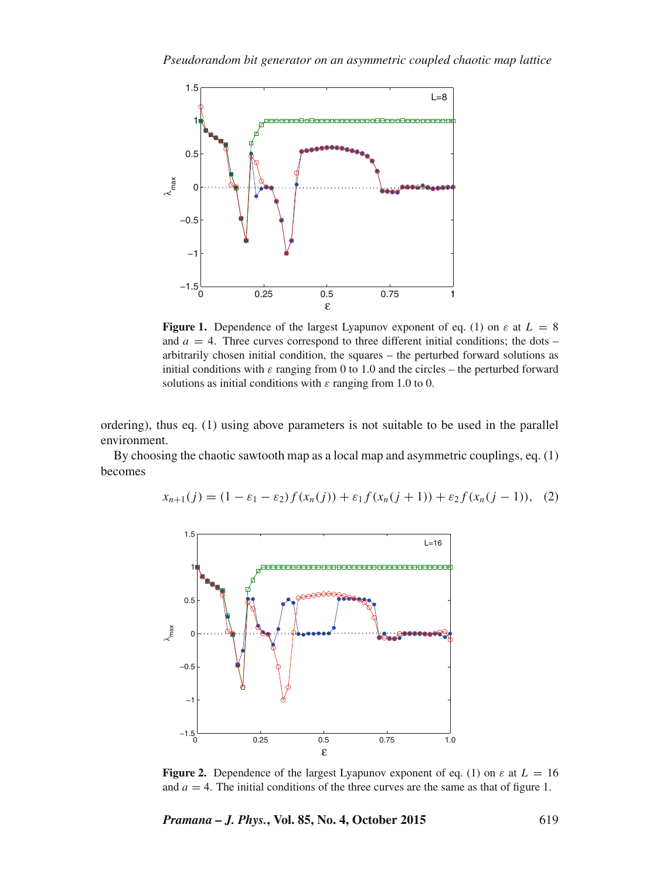

**Figure 1.** Dependence of the largest Lyapunov exponent of eq. (1) on  $\varepsilon$  at  $L = 8$ and  $a = 4$ . Three curves correspond to three different initial conditions; the dots – arbitrarily chosen initial condition, the squares – the perturbed forward solutions as initial conditions with  $\varepsilon$  ranging from 0 to 1.0 and the circles – the perturbed forward solutions as initial conditions with  $\varepsilon$  ranging from 1.0 to 0.

ordering), thus eq. (1) using above parameters is not suitable to be used in the parallel environment.

By choosing the chaotic sawtooth map as a local map and asymmetric couplings, eq. (1) becomes



$$
x_{n+1}(j) = (1 - \varepsilon_1 - \varepsilon_2) f(x_n(j)) + \varepsilon_1 f(x_n(j+1)) + \varepsilon_2 f(x_n(j-1)), \quad (2)
$$

**Figure 2.** Dependence of the largest Lyapunov exponent of eq. (1) on  $\varepsilon$  at  $L = 16$ and  $a = 4$ . The initial conditions of the three curves are the same as that of figure 1.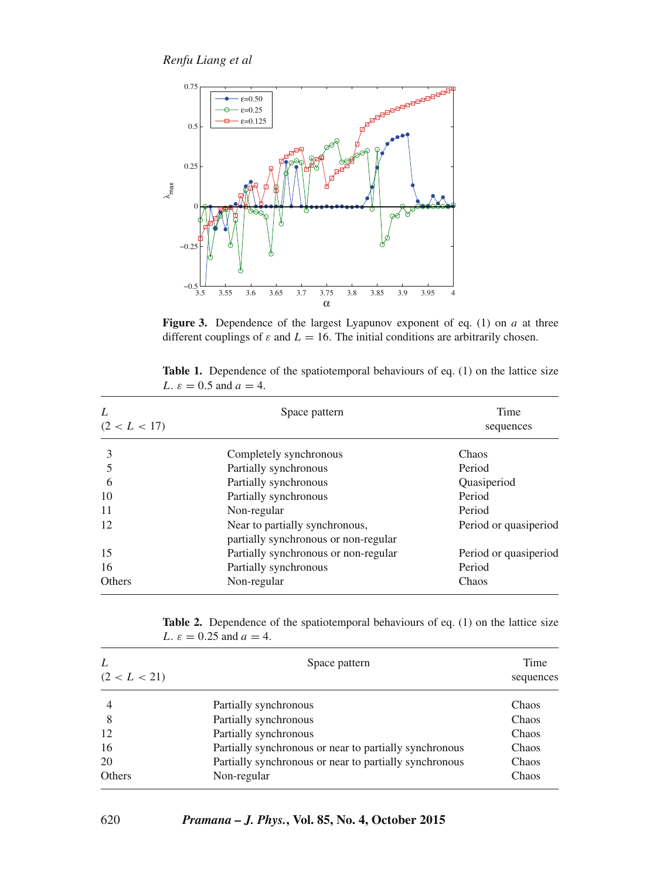

Figure 3. Dependence of the largest Lyapunov exponent of eq. (1) on a at three different couplings of  $\varepsilon$  and  $L = 16$ . The initial conditions are arbitrarily chosen.

| L<br>(2 < L < 17) | Space pattern                                                          | Time<br>sequences     |  |
|-------------------|------------------------------------------------------------------------|-----------------------|--|
| 3                 | Completely synchronous                                                 | Chaos                 |  |
|                   | Partially synchronous                                                  | Period                |  |
| 6                 | Partially synchronous                                                  | Quasiperiod           |  |
| 10                | Partially synchronous                                                  | Period                |  |
| 11                | Non-regular                                                            | Period                |  |
| 12                | Near to partially synchronous,<br>partially synchronous or non-regular | Period or quasiperiod |  |
| 15                | Partially synchronous or non-regular                                   | Period or quasiperiod |  |
| 16                | Partially synchronous                                                  | Period                |  |
| <b>Others</b>     | Non-regular                                                            | Chaos                 |  |

**Table 1.** Dependence of the spatiotemporal behaviours of eq. (1) on the lattice size L.  $\varepsilon = 0.5$  and  $a = 4$ .

**Table 2.** Dependence of the spatiotemporal behaviours of eq. (1) on the lattice size L.  $\varepsilon = 0.25$  and  $a = 4$ .

| L<br>(2 < L < 21) | Space pattern                                          | Time<br>sequences |
|-------------------|--------------------------------------------------------|-------------------|
| $\overline{4}$    | Partially synchronous                                  | Chaos             |
| 8                 | Partially synchronous                                  | Chaos             |
| 12                | Partially synchronous                                  | Chaos             |
| 16                | Partially synchronous or near to partially synchronous | Chaos             |
| 20                | Partially synchronous or near to partially synchronous | Chaos             |
| Others            | Non-regular                                            | Chaos             |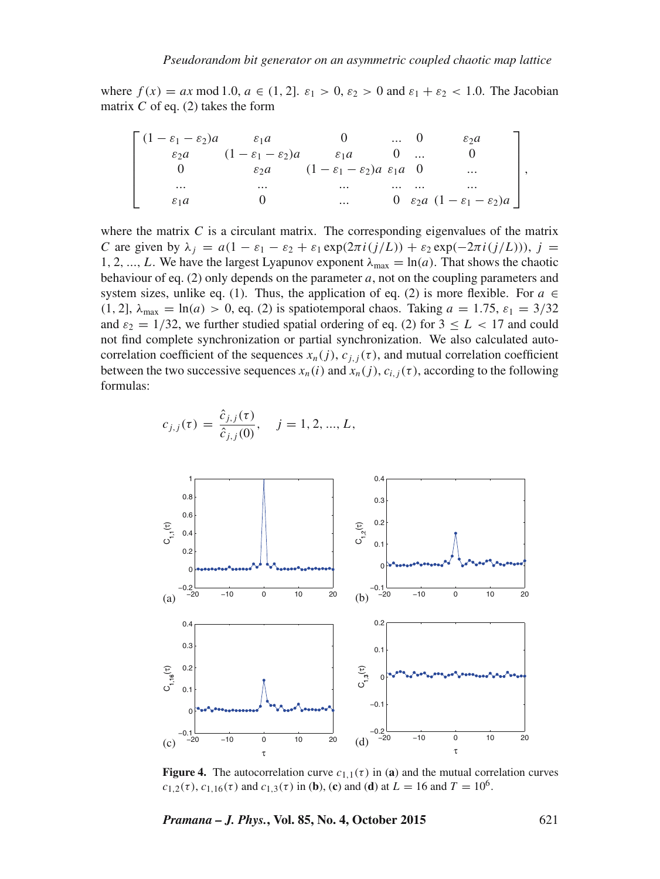where  $f(x) = ax \mod 1.0$ ,  $a \in (1, 2]$ .  $\varepsilon_1 > 0$ ,  $\varepsilon_2 > 0$  and  $\varepsilon_1 + \varepsilon_2 < 1.0$ . The Jacobian matrix  $C$  of eq. (2) takes the form

$$
\begin{bmatrix}\n(1 - \varepsilon_1 - \varepsilon_2)a & \varepsilon_1 a & 0 & \dots & 0 & \varepsilon_2 a \\
\varepsilon_2 a & (1 - \varepsilon_1 - \varepsilon_2)a & \varepsilon_1 a & 0 & \dots & 0 \\
0 & \varepsilon_2 a & (1 - \varepsilon_1 - \varepsilon_2)a & \varepsilon_1 a & 0 & \dots \\
\vdots & \vdots & \vdots & \ddots & \vdots & \vdots \\
\varepsilon_1 a & 0 & \dots & 0 & \varepsilon_2 a & (1 - \varepsilon_1 - \varepsilon_2)a\n\end{bmatrix},
$$

where the matrix  $C$  is a circulant matrix. The corresponding eigenvalues of the matrix C are given by  $\lambda_i = a(1 - \varepsilon_1 - \varepsilon_2 + \varepsilon_1 \exp(2\pi i (j/L)) + \varepsilon_2 \exp(-2\pi i (j/L))),$  j = 1, 2, ..., L. We have the largest Lyapunov exponent  $\lambda_{\text{max}} = \ln(a)$ . That shows the chaotic behaviour of eq. (2) only depends on the parameter  $a$ , not on the coupling parameters and system sizes, unlike eq. (1). Thus, the application of eq. (2) is more flexible. For  $a \in$ (1, 2),  $\lambda_{\text{max}} = \ln(a) > 0$ , eq. (2) is spatiotemporal chaos. Taking  $a = 1.75$ ,  $\varepsilon_1 = 3/32$ and  $\varepsilon_2 = 1/32$ , we further studied spatial ordering of eq. (2) for  $3 \leq L < 17$  and could not find complete synchronization or partial synchronization. We also calculated autocorrelation coefficient of the sequences  $x_n(j)$ ,  $c_{j,i}(\tau)$ , and mutual correlation coefficient between the two successive sequences  $x_n(i)$  and  $x_n(j)$ ,  $c_{i,j}(\tau)$ , according to the following formulas:

$$
c_{j,j}(\tau) = \frac{\hat{c}_{j,j}(\tau)}{\hat{c}_{j,j}(0)}, \quad j = 1, 2, ..., L,
$$



**Figure 4.** The autocorrelation curve  $c_{1,1}(\tau)$  in (**a**) and the mutual correlation curves  $c_{1,2}(\tau)$ ,  $c_{1,16}(\tau)$  and  $c_{1,3}(\tau)$  in (**b**), (**c**) and (**d**) at  $L = 16$  and  $T = 10^6$ .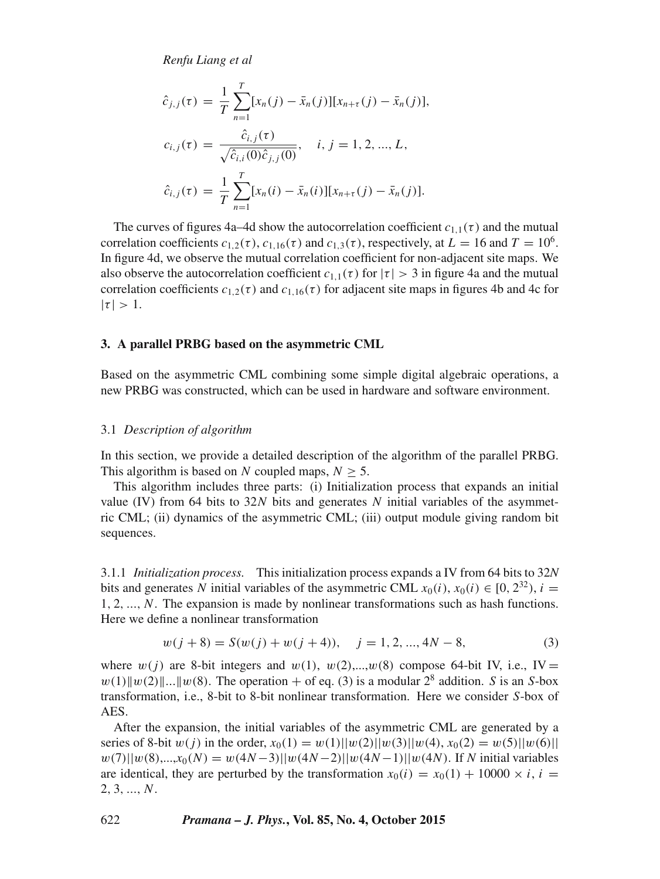*Renfu Liang et al*

$$
\hat{c}_{j,j}(\tau) = \frac{1}{T} \sum_{n=1}^{T} [x_n(j) - \bar{x}_n(j)][x_{n+\tau}(j) - \bar{x}_n(j)],
$$
  
\n
$$
c_{i,j}(\tau) = \frac{\hat{c}_{i,j}(\tau)}{\sqrt{\hat{c}_{i,i}(0)\hat{c}_{j,j}(0)}}, \quad i, j = 1, 2, ..., L,
$$
  
\n
$$
\hat{c}_{i,j}(\tau) = \frac{1}{T} \sum_{n=1}^{T} [x_n(i) - \bar{x}_n(i)][x_{n+\tau}(j) - \bar{x}_n(j)].
$$

The curves of figures 4a–4d show the autocorrelation coefficient  $c_{1,1}(\tau)$  and the mutual correlation coefficients  $c_{1,2}(\tau)$ ,  $c_{1,16}(\tau)$  and  $c_{1,3}(\tau)$ , respectively, at  $L = 16$  and  $T = 10^6$ . In figure 4d, we observe the mutual correlation coefficient for non-adjacent site maps. We also observe the autocorrelation coefficient  $c_{1,1}(\tau)$  for  $|\tau| > 3$  in figure 4a and the mutual correlation coefficients  $c_{1,2}(\tau)$  and  $c_{1,16}(\tau)$  for adjacent site maps in figures 4b and 4c for  $|\tau| > 1.$ 

# **3. A parallel PRBG based on the asymmetric CML**

Based on the asymmetric CML combining some simple digital algebraic operations, a new PRBG was constructed, which can be used in hardware and software environment.

# 3.1 *Description of algorithm*

In this section, we provide a detailed description of the algorithm of the parallel PRBG. This algorithm is based on N coupled maps,  $N > 5$ .

This algorithm includes three parts: (i) Initialization process that expands an initial value (IV) from 64 bits to 32N bits and generates  $N$  initial variables of the asymmetric CML; (ii) dynamics of the asymmetric CML; (iii) output module giving random bit sequences.

3.1.1 *Initialization process.* This initialization process expands a IV from 64 bits to 32*N* bits and generates N initial variables of the asymmetric CML  $x_0(i)$ ,  $x_0(i) \in [0, 2^{32})$ ,  $i =$ 1, 2, ..., N. The expansion is made by nonlinear transformations such as hash functions. Here we define a nonlinear transformation

$$
w(j+8) = S(w(j) + w(j+4)), \quad j = 1, 2, ..., 4N - 8,
$$
\n(3)

where  $w(i)$  are 8-bit integers and  $w(1)$ ,  $w(2)$ ,..., $w(8)$  compose 64-bit IV, i.e., IV =  $w(1)$ || $w(2)$ ||...|| $w(8)$ . The operation + of eq. (3) is a modular  $2<sup>8</sup>$  addition. S is an S-box transformation, i.e., 8-bit to 8-bit nonlinear transformation. Here we consider S-box of AES.

After the expansion, the initial variables of the asymmetric CML are generated by a series of 8-bit  $w(j)$  in the order,  $x_0(1) = w(1)||w(2)||w(3)||w(4)$ ,  $x_0(2) = w(5)||w(6)||$  $w(7)||w(8),...,x_0(N) = w(4N-3)||w(4N-2)||w(4N-1)||w(4N)$ . If N initial variables are identical, they are perturbed by the transformation  $x_0(i) = x_0(1) + 10000 \times i$ ,  $i =$ 2, 3, ..., N.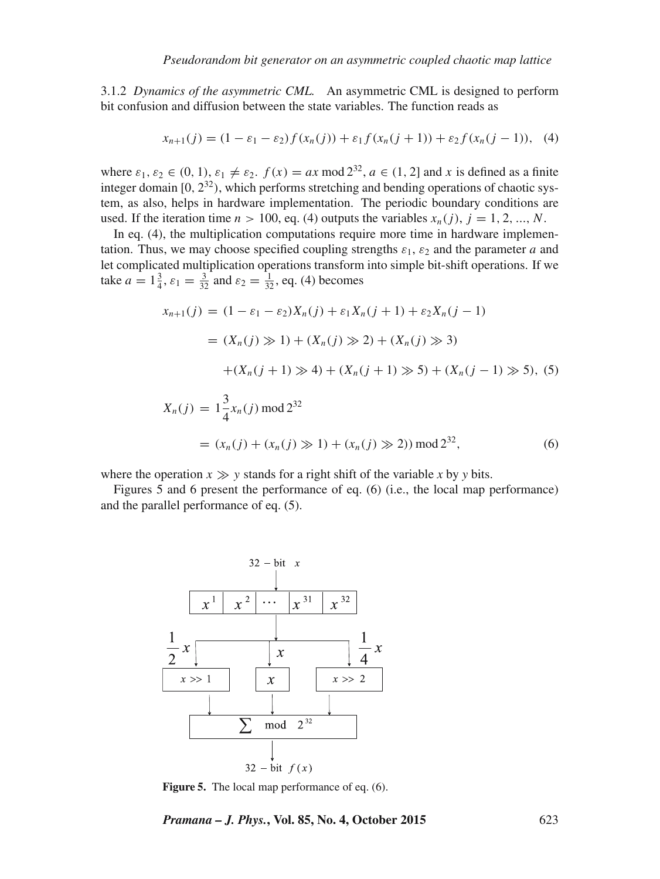3.1.2 *Dynamics of the asymmetric CML.* An asymmetric CML is designed to perform bit confusion and diffusion between the state variables. The function reads as

$$
x_{n+1}(j) = (1 - \varepsilon_1 - \varepsilon_2) f(x_n(j)) + \varepsilon_1 f(x_n(j+1)) + \varepsilon_2 f(x_n(j-1)), \quad (4)
$$

where  $\varepsilon_1, \varepsilon_2 \in (0, 1), \varepsilon_1 \neq \varepsilon_2$ .  $f(x) = ax \mod 2^{32}$ ,  $a \in (1, 2]$  and x is defined as a finite integer domain  $[0, 2^{32})$ , which performs stretching and bending operations of chaotic system, as also, helps in hardware implementation. The periodic boundary conditions are used. If the iteration time  $n > 100$ , eq. (4) outputs the variables  $x_n(j)$ ,  $j = 1, 2, ..., N$ .

In eq. (4), the multiplication computations require more time in hardware implementation. Thus, we may choose specified coupling strengths  $\varepsilon_1$ ,  $\varepsilon_2$  and the parameter a and let complicated multiplication operations transform into simple bit-shift operations. If we take  $a = 1\frac{3}{4}$ ,  $\varepsilon_1 = \frac{3}{32}$  and  $\varepsilon_2 = \frac{1}{32}$ , eq. (4) becomes

$$
x_{n+1}(j) = (1 - \varepsilon_1 - \varepsilon_2)X_n(j) + \varepsilon_1 X_n(j+1) + \varepsilon_2 X_n(j-1)
$$
  
\n
$$
= (X_n(j) \gg 1) + (X_n(j) \gg 2) + (X_n(j) \gg 3)
$$
  
\n
$$
+ (X_n(j+1) \gg 4) + (X_n(j+1) \gg 5) + (X_n(j-1) \gg 5), (5)
$$
  
\n
$$
X_n(j) = 1\frac{3}{4}x_n(j) \mod 2^{32}
$$
  
\n
$$
= (x_n(j) + (x_n(j) \gg 1) + (x_n(j) \gg 2)) \mod 2^{32},
$$
 (6)

where the operation  $x \gg y$  stands for a right shift of the variable x by y bits.

Figures 5 and 6 present the performance of eq. (6) (i.e., the local map performance) and the parallel performance of eq. (5).



**Figure 5.** The local map performance of eq. (6).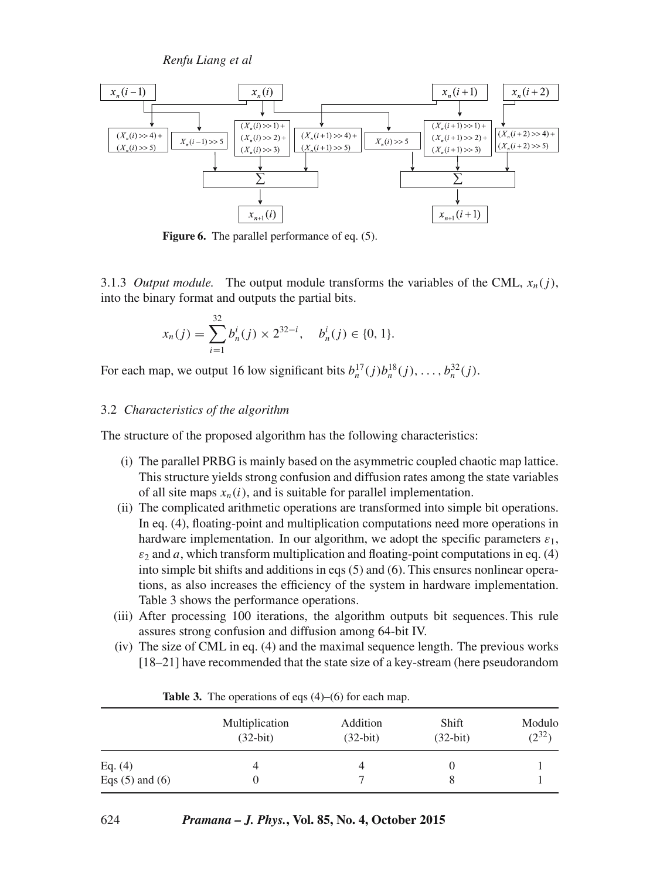*Renfu Liang et al*



**Figure 6.** The parallel performance of eq. (5).

3.1.3 *Output module.* The output module transforms the variables of the CML,  $x_n(i)$ , into the binary format and outputs the partial bits.

$$
x_n(j) = \sum_{i=1}^{32} b_n^i(j) \times 2^{32-i}, \quad b_n^i(j) \in \{0, 1\}.
$$

For each map, we output 16 low significant bits  $b_n^{17}(j)b_n^{18}(j), \ldots, b_n^{32}(j)$ .

# 3.2 *Characteristics of the algorithm*

The structure of the proposed algorithm has the following characteristics:

- (i) The parallel PRBG is mainly based on the asymmetric coupled chaotic map lattice. This structure yields strong confusion and diffusion rates among the state variables of all site maps  $x_n(i)$ , and is suitable for parallel implementation.
- (ii) The complicated arithmetic operations are transformed into simple bit operations. In eq. (4), floating-point and multiplication computations need more operations in hardware implementation. In our algorithm, we adopt the specific parameters  $\varepsilon_1$ ,  $\varepsilon_2$  and a, which transform multiplication and floating-point computations in eq. (4) into simple bit shifts and additions in eqs (5) and (6). This ensures nonlinear operations, as also increases the efficiency of the system in hardware implementation. Table 3 shows the performance operations.
- (iii) After processing 100 iterations, the algorithm outputs bit sequences. This rule assures strong confusion and diffusion among 64-bit IV.
- (iv) The size of CML in eq. (4) and the maximal sequence length. The previous works [18–21] have recommended that the state size of a key-stream (here pseudorandom

|                                  | Multiplication | Addition   | Shift      | Modulo     |
|----------------------------------|----------------|------------|------------|------------|
|                                  | $(32-bit)$     | $(32-bit)$ | $(32-bit)$ | $(2^{32})$ |
| Eq. $(4)$<br>Eqs $(5)$ and $(6)$ |                | 4          |            |            |

**Table 3.** The operations of eqs (4)–(6) for each map.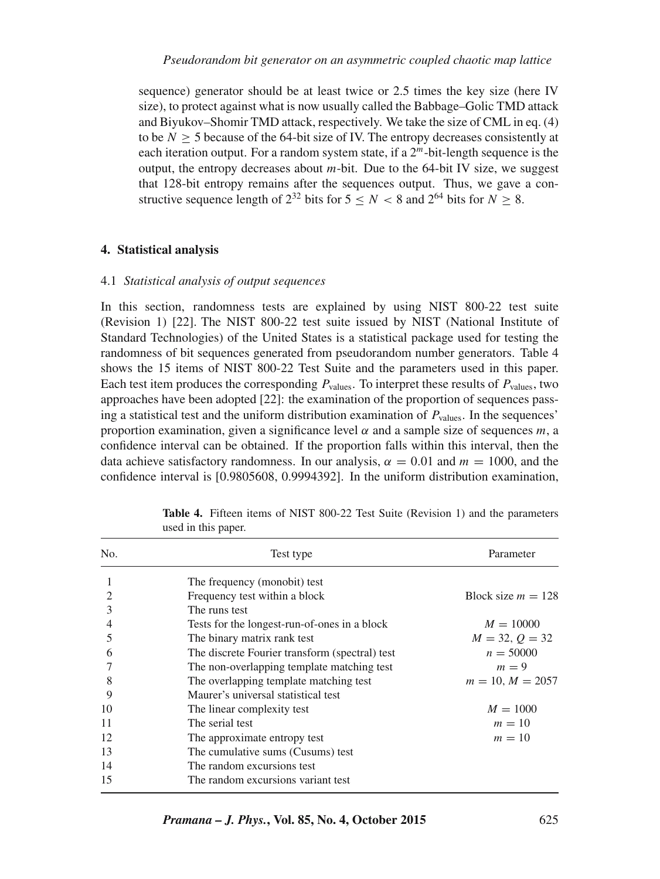sequence) generator should be at least twice or 2.5 times the key size (here IV size), to protect against what is now usually called the Babbage–Golic TMD attack and Biyukov–Shomir TMD attack, respectively. We take the size of CML in eq. (4) to be  $N > 5$  because of the 64-bit size of IV. The entropy decreases consistently at each iteration output. For a random system state, if a  $2<sup>m</sup>$ -bit-length sequence is the output, the entropy decreases about  $m$ -bit. Due to the 64-bit IV size, we suggest that 128-bit entropy remains after the sequences output. Thus, we gave a constructive sequence length of  $2^{32}$  bits for  $5 < N < 8$  and  $2^{64}$  bits for  $N > 8$ .

# **4. Statistical analysis**

## 4.1 *Statistical analysis of output sequences*

In this section, randomness tests are explained by using NIST 800-22 test suite (Revision 1) [22]. The NIST 800-22 test suite issued by NIST (National Institute of Standard Technologies) of the United States is a statistical package used for testing the randomness of bit sequences generated from pseudorandom number generators. Table 4 shows the 15 items of NIST 800-22 Test Suite and the parameters used in this paper. Each test item produces the corresponding  $P_{values}$ . To interpret these results of  $P_{values}$ , two approaches have been adopted [22]: the examination of the proportion of sequences passing a statistical test and the uniform distribution examination of  $P_{values}$ . In the sequences' proportion examination, given a significance level  $\alpha$  and a sample size of sequences m, a confidence interval can be obtained. If the proportion falls within this interval, then the data achieve satisfactory randomness. In our analysis,  $\alpha = 0.01$  and  $m = 1000$ , and the confidence interval is [0.9805608, 0.9994392]. In the uniform distribution examination,

| No. | Test type                                      | Parameter            |
|-----|------------------------------------------------|----------------------|
|     | The frequency (monobit) test                   |                      |
|     | Frequency test within a block                  | Block size $m = 128$ |
| 3   | The runs test                                  |                      |
|     | Tests for the longest-run-of-ones in a block   | $M = 10000$          |
| 5   | The binary matrix rank test                    | $M = 32, Q = 32$     |
| 6   | The discrete Fourier transform (spectral) test | $n = 50000$          |
|     | The non-overlapping template matching test     | $m = 9$              |
| 8   | The overlapping template matching test         | $m = 10, M = 2057$   |
| 9   | Maurer's universal statistical test            |                      |
| 10  | The linear complexity test                     | $M = 1000$           |
| 11  | The serial test                                | $m=10$               |
| 12  | The approximate entropy test                   | $m=10$               |
| 13  | The cumulative sums (Cusums) test              |                      |
| 14  | The random excursions test                     |                      |
| 15  | The random excursions variant test             |                      |

**Table 4.** Fifteen items of NIST 800-22 Test Suite (Revision 1) and the parameters used in this paper.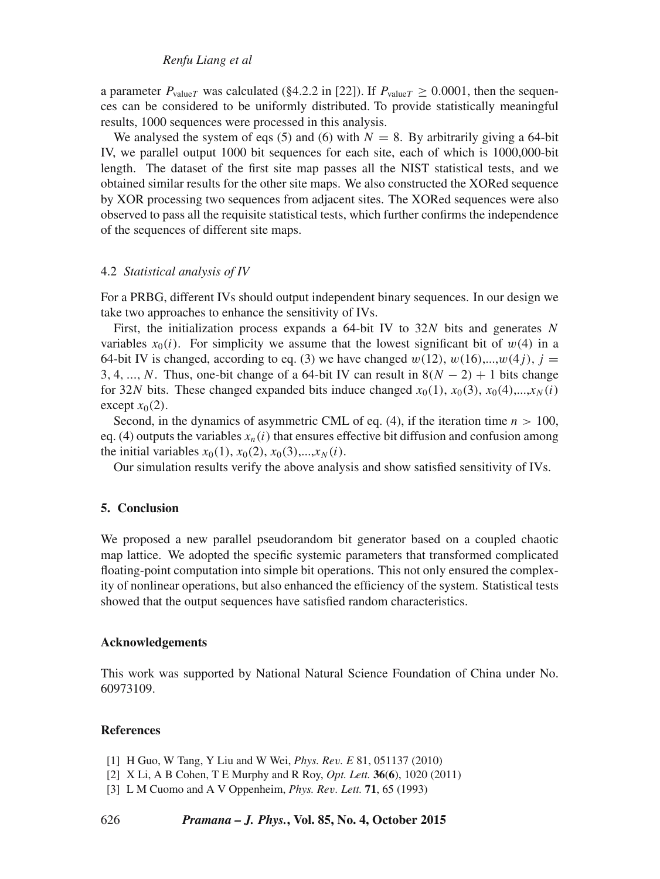a parameter  $P_{valueT}$  was calculated (§4.2.2 in [22]). If  $P_{valueT} > 0.0001$ , then the sequences can be considered to be uniformly distributed. To provide statistically meaningful results, 1000 sequences were processed in this analysis.

We analysed the system of eqs (5) and (6) with  $N = 8$ . By arbitrarily giving a 64-bit IV, we parallel output 1000 bit sequences for each site, each of which is 1000,000-bit length. The dataset of the first site map passes all the NIST statistical tests, and we obtained similar results for the other site maps. We also constructed the XORed sequence by XOR processing two sequences from adjacent sites. The XORed sequences were also observed to pass all the requisite statistical tests, which further confirms the independence of the sequences of different site maps.

### 4.2 *Statistical analysis of IV*

For a PRBG, different IVs should output independent binary sequences. In our design we take two approaches to enhance the sensitivity of IVs.

First, the initialization process expands a 64-bit IV to  $32N$  bits and generates N variables  $x_0(i)$ . For simplicity we assume that the lowest significant bit of  $w(4)$  in a 64-bit IV is changed, according to eq. (3) we have changed  $w(12)$ ,  $w(16)$ ,..., $w(4i)$ ,  $i =$ 3, 4, ..., N. Thus, one-bit change of a 64-bit IV can result in  $8(N - 2) + 1$  bits change for 32N bits. These changed expanded bits induce changed  $x_0(1)$ ,  $x_0(3)$ ,  $x_0(4)$ ,..., $x_N(i)$ except  $x_0(2)$ .

Second, in the dynamics of asymmetric CML of eq. (4), if the iteration time  $n > 100$ , eq. (4) outputs the variables  $x_n(i)$  that ensures effective bit diffusion and confusion among the initial variables  $x_0(1)$ ,  $x_0(2)$ ,  $x_0(3)$ ,..., $x_N(i)$ .

Our simulation results verify the above analysis and show satisfied sensitivity of IVs.

# **5. Conclusion**

We proposed a new parallel pseudorandom bit generator based on a coupled chaotic map lattice. We adopted the specific systemic parameters that transformed complicated floating-point computation into simple bit operations. This not only ensured the complexity of nonlinear operations, but also enhanced the efficiency of the system. Statistical tests showed that the output sequences have satisfied random characteristics.

#### **Acknowledgements**

This work was supported by National Natural Science Foundation of China under No. 60973109.

## **References**

- [1] H Guo, W Tang, Y Liu and W Wei, *Phys. Re*v*. E* 81, 051137 (2010)
- [2] X Li, A B Cohen, T E Murphy and R Roy, *Opt. Lett.* **36**(**6**), 1020 (2011)
- [3] L M Cuomo and A V Oppenheim, *Phys. Re*v*. Lett.* **71**, 65 (1993)